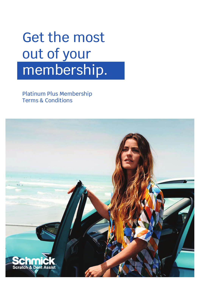# Get the most out of your membership.

Platinum Plus Membership Terms & Conditions

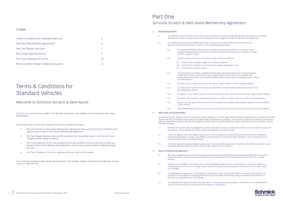### Index

| Terms & Conditions for Standard Vehicles  |  |  |
|-------------------------------------------|--|--|
| Part One (Membership Agreement)           |  |  |
| Part Two (Repair Services)                |  |  |
| Part Three (General terms)                |  |  |
| Part Four (Glossary of Terms)             |  |  |
| Minor Cosmetic Repairs Table & Exclusions |  |  |

# Terms & Conditions for Standard Vehicles

### Welcome to Schmick Scratch & Dent Assist

Schmick Car Care Club Pty Ltd ABN 77 139 891 679 (Schmick) is the supplier of your Scratch & Dent Assist Membership.

This booklet sets out Schmick's General Terms and Conditions as follows:

- Part One (Scratch & Dent Assist Membership Agreement) sets out the terms and conditions that apply to your Scratch & Dent Assist Membership Agreement.
- Part Two (Repair Services) sets out the procedures for requesting repairs, and the terms and conditions which apply to repairs.
- Part Three (General Terms) sets out some terms and conditions that are common to both your Scratch & Dent Assist Membership Agreement, and the terms and conditions relating to repair services.
- Part Four (Glossary of Terms) is a glossary of terms used in this booklet.

If you have any questions about anything contained in this booklet, please call the Schmick Member Service Centre on 1300 567 567.

## Part One Schmick Scratch & Dent Assist Membership Agreement

### **1. Membership Benefits**

| 1.1. | Your Membership of Schmick Scratch & Dent Assist entitles you to the Membership Benefits relating to your particular |
|------|----------------------------------------------------------------------------------------------------------------------|
|      | Membership Program subject to you also complying with your obligations under this Membership Agreement.              |
|      |                                                                                                                      |

- 1.2. As a Member you will enjoy the following benefits in relation to your Nominated Vehicle as well as the Work and Family benefits set out in clause 2 of this Membership Agreement:
	- 1.2.1. The speed and efficiency of Schmick's processes giving priority attention to Member repair requests thereby eliminating the time cost and inconvenience of taking your Vehicle to a repair shop for a quote or repair:
	- 1.2.2. Exclusive access to and use of Schmick's repair request procedures
		- (a) Online via the members' page on the Schmick website;
		- (b) Online via the member-exclusive Schmick mobile application; or via
		- (c) The Schmick national number;
	- 1.2.3. The convenience of having a qualified Schmick approved repair technician in a fully equipped mobile repair facility come to you at your location within the Service Area to evaluate your repair requirements and if you accept the Repair Quote in many cases immediately perform Minor Cosmetic Repairs;
	- 1.2.4. No limits on the number of times you can request Repair Quotes for Minor Cosmetic Repairs;
	- 1.2.5. No limits on the number of times you can have Minor Cosmetic Repairs performed subject to you accepting Repair Quotes;
	- 1.2.6. In addition to your rights under the Australian Consumer Law, we provide a warranty for repair work we perform;
	- 1.2.7. Schmick's free inspection and appraisal service in relation to repairs that are not Minor Cosmetic Repairs;
	- 1.2.8. General car care advice and tips on the Schmick web site to maintain the cosmetic appearance and condition of your Vehicle;
	- 1.2.9. Other Membership benefits from time to time including third party discounts published on Schmick's website.

### **2. Other Work and Family Benefits**

If requested by you, Schmick may in its discretion provide quotations for other repair work on Vehicles owned by you or by a family member that are not your Nominated Vehicle and not included under the Membership Program. If this service is offered by Schmick in connection<br>with your Nominated Vehicle's Membership Program it will be stated in your Membership P following will apply:

- 2.1. Schmick will not be under any obligation to quote on the work or to carry out the work unless you first accept the quote and you and your family member will not be under any obligation to accept the quote.
- 2.2. If Schmick agrees to provide a Repair Quote to you, and you accept that quote, the work performed will be undertaken pursuant to the Repair Contract. Your liability to pay the Repair Fee will arise under the Repair Contract, being a service contract based in part on the Repair Quote.
- 2.3. If Schmick agrees to provide a Repair Quote you can have reasonable expectations that the quote will be calculated using a discounted rate than that used when Schmick offer quotes for non-members.

### **3. Nature of Membership Agreement**

- 3.1. Schmick's obligations to you under this agreement are limited to delivering the Membership Benefits and if you want to access Schmick's repair services you may only do so in accordance with the procedures set out in Part Two – Repair Services.
- 3.2. Schmick is not obliged or required by virtue of your Membership Agreement to indemnify you or any person against or compensate you for any loss or damage to your Vehicle occasioned as a consequence of any event or to rectify or repair such damage.
- 3.3. Your Membership Agreement is not intended to substitute for your normal motor vehicle insurance policy and it is not suitable for the purposes of managing the financial risk associated with damage being occasioned to your Vehicle or financial loss associated with such damage.
- 3.4. Your Membership Agreement does not confer upon or otherwise give you any rights or entitlements as a shareholder of Schmick or as a member of any company association or organisation.

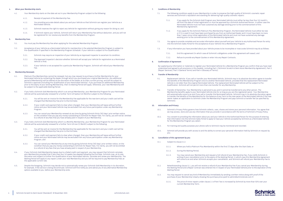#### **4. When your Membership starts**

- 4.1. Your Membership starts on the date set out in your Membership Program subject to the following:
	- 4.1.1. Receipt of payment of the Membership Fee;
	- 4.1.2. You providing accurate details about you and your Vehicle so that Schmick can register your Vehicle as a Nominated Vehicle;
	- 4.1.3. Schmick reserves the right to reject any Vehicle for registration without giving any reason for doing so; and
	- 4.1.4. If Schmick rejects your Vehicle, Schmick will return your Membership Fee without deduction, and you will not be registered for nor receive any benefits from the Membership Program.

### **5. Membership Fees**

- 5.1. You must pay the Membership Fee when applying for the selected Membership Program.
- 5.2. Acceptance of your Vehicle as a Nominated Vehicle for membership in the selected Membership Program is subject to Pre-Qualification if specified in the Membership Program Schedule. If your Vehicle is subject to Pre-Qualification:
	- 5.2.1. Schmick may require an inspection of your Vehicle by an Approved Inspector to ascertain its condition;
	- 5.2.2. The Approved Inspector's decision whether Schmick will accept your Vehicle for registration as a Nominated Vehicle is final;
	- 5.2.3. If your Vehicle is not accepted for a particular Membership Program, Schmick will refund your Membership Fee.

### **6. Membership Renewals**

- 6.1. Platinum Plus Memberships cannot be renewed, but you may request to purchase a further Membership for your Nominated Vehicle by contacting the dealer through which you purchased your original Membership. Any additional period of Membership will be offered at the discretion of the dealer at its then-current pricing, and will be subject to Schmick's approval (including Pre-Qualification of your Nominated Vehicle). If you purchase an additional Membership prior to the expiry of your existing Membership, then no Waiting Period will apply. Otherwise, your new Membership will be subject to the applicable Waiting Period.
- 6.2. If you hold a Schmick Gold Membership which is an annual Membership, your Membership Program for your Nominated Vehicle will be automatically renewed for a further Term (of twelve (12) Months) subject to the following:
	- 6.2.1. You will be sent an invoice for the Membership Fee applicable for the new term and your credit card will be charged that Membership Fee prior to the End Date;
	- 6.2.2. If your credit card payment fails to clear when charged, then your Membership will lapse without further notice and your Nominated Vehicle may be excluded from any future participation under any Membership Program;
	- 6.2.3. You can cancel your Membership renewal at any time by giving Schmick thirty (30) days' prior written notice, on the condition that you pay any money outstanding to Schmick for Repair Fees. For clarity, you will not be entitled to a refund of any fees that you have already paid in respect of your Membership.
- 6.3. If you hold a Schmick Gold Membership which is a Monthly Membership, your Membership Program for your Nominated Vehicle will be automatically renewed for a further Term (of one (1) Month) subject to the following:
	- 6.3.1. You will be sent an invoice for the Membership Fee applicable for the new term and your credit card will be charged that Membership Fee prior to the End Date;
	- 6.3.2. If your credit card payment fails to clear when charged, then your Membership will lapse without further notice and your Nominated Vehicle may be excluded from any future participation under any Membership Program; and
	- 6.3.3. You can cancel your Membership at any time by giving Schmick thirty (30) days' prior written notice, on the condition that you pay any money outstanding to Schmick for Repair Fees. For clarity, you will not be entitled to a refund of any fees that you have already paid in respect of your Membership.
- 6.4. If your Schmick Gold Membership lapses due to a failed credit card payment, you may request that Schmick reinstate your Membership provided that it less than four (4) weeks has elapsed following the End Date. Schmick may, at its sole discretion and subject to further Pre-Qualification of your Nominated Vehicle, reinstate and renew your Membership. The Waiting Period will apply to any repairs under your new Membership and you will be required to pay Membership Fees at the applicable current rate.
- 6.5. Despite the foregoing, Schmick may decide not to automatically renew your Schmick Gold Membership in its discretion, for example, if the service is being discontinued. Schmick will first notify you and advise you of any alternative Membership options available to you, before your Membership ends.

#### **7. Conditions of Membership**

- 7.1. The following conditions apply to your Membership in order to preserve the high quality of Schmick's cosmetic repair services and Schmick's reputation and standing for delivering high quality cosmetic repairs:
	- It you apply for the Schmick Gold Program your Nominated Vehicle must either be less than four (4) month's lol<br>old from the date of initial registration or must be approved by a Schmick Authorised Person. In either case th Nominated Vehicle must not have sustained any damage existing prior to the commencement of this Membership Agreement.
	- 7.1.2. If you apply for the Schmick Platinum Plus Membership Program, the Nominated Vehicle must either be new or if it is used it must have been purchased by you from an Authorised Dealer and it must have been no more than 7 years since initial registration of the Nominated Vehicle and must not have sustained any damage existing prior to the commencement of this Membership Agreement.
- 7.2. You agree to provide complete and accurate information about yourself and your Vehicle to any Authorised Person for entry into the Schmick Sales Portal for the acceptance of your Vehicle into a Membership Program.
- 7.3. If any information you have provided about your Vehicle proves to be incomplete or inaccurate Schmick may do as follows:
	- 7.3.1. End this agreement (in which case all Schmick's obligations under this agreement will cease); and
	- 7.3.2. Refuse to provide any Repair Quotes or enter into any Repair Contracts.

### **8. Confirmation of Agreement**

By supplying any information or materials to register your Nominated Vehicle for a Membership Program you confirm that you have read understood and agreed to all provisions in this booklet, including Part 1 (Schmick Scratch & Dent Assist Membership Agreement), Part 2 (Repair Services), Part 3 (General Terms) and Part 4 (Glossary of Terms).

### **9. Transfer of Membership**

- 9.1. Replacement Vehicle: If you sell or transfer your Nominated Vehicle, Schmick may in its absolute discretion agree to transfer the benefits of the Membership Program once to another Nominated Vehicle, provided that the replacement Nominated Vehicle is not older than the original Nominated Vehicle. The replacement Nominated Vehicle will be subject to Pre-Qualification. Schmick will not permit more than one transfer for any Membership.
- 9.2. Transfer of Ownership: Your Membership is personal to you and it cannot be transferred to any other person. The Membership benefits apply to your Nominated Vehicle only for so long as you are the registered owner. Your Membership will automatically come to an end if you sell or transfer the Nominated Vehicle. Schmick may in its absolute discretion agree to transfer the benefits of the Membership for the balance of any Term to the new owner of the Nominated Vehicle if the new owner makes an application to Schmick under the Membership Program and pays Schmick a transfer fee (as specified by Schmick).

### **10. Information and Privacy**

- 10.1. Schmick's Privacy Policy governs how Schmick collects, uses, shares and stores your personal information. You agree that we may access, store and use any information that you provide in accordance with the terms of Schmick's Privacy Policy.
- 10.2. You consent to providing the information about you and your Vehicle to the Authorised Person for the purpose of entering that information into the Schmick Sales Portal to apply to have your Vehicle accepted by Schmick as a Nominated Vehicle for the Membership Program you select.
- 10.3. For training and quality purposes your phone calls to Schmick may be monitored and recorded.
- 10.4. Schmick will provide you with access to and the ability to correct your personal information held by Schmick on request by you.

### **11. Cancellation of this agreement by you**

- 11.1. Subject to clause 11.2:
	- 11.1.1. Where you hold a Platinum Plus Membership within the first (7) days after the Start Date; or
	- 11.1.2. During the Waiting Period,
	- 11.1.3. You may cancel your Membership and request a full refund of your Membership Fee, if you notify Schmick in writing of your cancellation prior to the expiry of the Waiting Period, in which case this Membership Agreement will come to an end when Schmick accepts your cancellation, and Schmick will refund your Membership Fee to you.
- 11.2. Notwithstanding clause 11.1, you will not receive a refund of your Membership Fee if you cancel your Membership during the Waiting Period and a Repair Contract was entered into in respect of your Nominated Vehicle prior to the expiration of the Waiting Period.
- 11.3. You may request to cancel any kind of Membership immediately by sending a written notice along with proof of the purchase of your Membership (clearly showing the purchase price paid) to admin@schmickclub.com if:
	- 11.3.1. The price of minor repairs under clause 2.1 of Part Two is increased by Schmick by more than 50% over your current Membership Term;

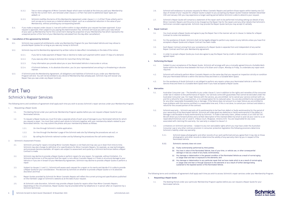- 11.3.2. Two or more categories of Minor Cosmetic Repair which were included at the time you paid your Membership Fee for the current Term, are removed under clause 2.1 of Part Two (and no additional repair types are added); or
- 11.3.3. Schmick modifies the terms of this Membership Agreement under clause 1.1–1.2 of Part Three unfairly and in such as way as to cause you a material adverse impact, such as a substantial reduction in the value of your Membership, without providing any corresponding benefit.
- 11.4. If you make a request under clause 11.3 we will confirm within 14 days whether your request has been approved. If your request is approved, then subject to you paying the Administration Fee, Schmick will issue you with a pro-rata refund of your paid-up Membership Fee for the current term (being the proportion of your Membership Fee which represents the unexpired portion of the Term of your Membership calculated from the day after cancellation).

### **12. Cancellation of this agreement by Schmick**

- 12.1. Schmick may suspend all entitlements under any Membership Program for your Nominated Vehicle and may refuse to provide Repair Quotes for so long as you owe any money to Schmick.
- 12.2. Schmick may end its Membership Agreement by written notice to take effect immediately on the date of the notice:
	- 12.2.1. If you fail to make payment of Repair Fees or decline to make such payment within seven (7) days of a demand;
	- 12.2.2. If you owe any other money to Schmick for more than thirty (30) days;
	- 12.2.3. If any information you provide about you or your Nominated Vehicle is inaccurate or untrue;
	- 12.2.4. If Schmick believes, in its absolute discretion, you (or your representative) are acting in a threatening or abusive manner.
- 12.3. If Schmick ends the Membership Agreement, all obligations and liabilities of Schmick to you under your Membership Program will end. You will not be entitled to any refund of Membership fees already paid. Schmick may still recover any Repair Fees you owe under any Repair Contract.

### Part Two

### Schmick's Repair Services

The following terms and conditions of agreement shall apply each time you wish to access Schmick's repair services under your Membership Program.

- 1. Requesting a Repair Quote
	- 1.1. The Waiting Period under your particular Membership Program applies before you can request a Repair Quote for your Nominated Vehicle.
	- 1.2. To request a Repair Quote you must first take a separate photo of each area of damage to your Nominated Vehicle for which you request a repair. You must then submit each photo to Schmick together with your membership details related to your Nominated Vehicle. You may submit the photos and your membership details as follows:
		- 1.2.1. On-line through Schmick's mobile application;
		- 1.2.2. On-line through the Member's page of the Schmick web site (by following the procedures set out); or
		- 1.2.3. By calling the Schmick national number and by following the procedures the call centre explains.
- 2. Schmick's Assessment Process
	- 2.1. Schmick's pricing for repairs including Minor Cosmetic Repairs is not fixed and may vary up or down from time to time. Schmick may also change its definition of or specifications for Minor Cosmetic Repairs, for example, as new technologies and processes become available. All repairs are subject to assessment and quote by a Schmick technician before a Repair Contract is made.
	- 2.2. Schmick may decline to provide a Repair Quote or perform repairs for any reason. For example, without limitation, if a Schmick technician is of the opinion that the repair is not a Minor Cosmetic Repair or if there is structural damage to your Vehicle or if you are in breach of your Membership Agreement, Schmick may decline to provide a Repair Quote or perform a repair.
	- 2.3. Subject to clauses 2.1 and 2.2, Schmick will assess each request for a repair on its merits and decide if it is able to provide a Repair Quote for your consideration. The decision by Schmick on whether to provide a Repair Quote is in its absolute discretion and final.
	- 2.4. Repair Quotes provided by Schmick for Minor Cosmetic Repairs will reflect the current pricing and specifications published on the members' page on Schmick's website as at the date of your request.
	- 2.5. At Schmick's sole discretion, Schmick may provide a Repair Quote for repairs other than Minor Cosmetic Repairs. Depending on the circumstances, Repair Quotes may be provided either by telephone or in person after an inspection by a Schmick technician.
- 2.6. Schmick will endeavour to process requests for Minor Cosmetic Repairs and perform those repairs within twenty one (21) days of receipt of your request for a Repair Quote (subject to you accepting any Repair Quote) nowever between December<br>15th and January 15th you may experience a longer waiting period before Schmick is able to attend to y
- 2.7. Schmick's Repair Quote will comprise a statement of the repair work to be performed including setting out details of any Minor Cosmetic Repairs and the price to be charged as the Repair Fee for the repairs and any other details that Schmick's technician considers appropriate. Schmick may provide the Repair Quote (and you may accept it) verbally.

#### **3. Repair Contract**

- 3.1. You must accept a Repair Quote and agree to pay the Repair Fee in the manner set out in clause 3.4 below for a Repair Contract to come into existence.
- 3.2. For the avoidance of doubt, Schmick shall not be legally obliged to perform any repairs to any Vehicle unless you have first accepted a Repair Quote and a Repair Contract has been made.
- 3.3. Each Repair Contract arising from your acceptance of a Repair Quote is separate from and independent of any earlier Repair Contract and from your Membership agreement.
- 3.4. In order to accept a Repair Quote you must also agree to pay the Repair Fee by credit or debit card on completion of the agreed repair.

### **4. Performing the Repair**

- 4.1. Subject to your acceptance of the Repair Quote, Schmick will arrange with you a mutually agreed time at a Suitable Work Space within the Service Area between the hours of 8.00am and 4.00pm, Monday to Friday, to undertake any repair work required.
- 4.2. Schmick will ordinarily perform Minor Cosmetic Repairs on the same day that you request an inspection strictly on condition that your Nominated Vehicle is within the Service Area and there is a Suitable Work Space.
- 4.3. For the avoidance of doubt Schmick is not obliged to perform any repairs unless your Nominated Vehicle is within the Service Area and there is a Suitable Work Space even if you have accepted a Repair Quote.

### **5. Warranties**

- 5.1. Australian Consumer Law The benefits to you under clause 5.2 are in addition to the rights and remedies of the consumer under law in relation to the performance of repairs. Our services come with guarantees that cannot be excluded under the Australian Consumer Law. For major failures with the service, you are entitled: (a) to cancel your service contract with us; and (b) a refund for the unused portion, or to compensation for its reduced value. You are also entitled to be compensated for any other reasonably foreseeable loss or damage. If the failure does not amount to a major failure you are entitled to have problems with the service rectified in a reasonable time and, if this is not done, to cancel your contract and obtain a refund for the unused portion of the contract.
- 5.2. Schmick warranty Schmick warrants all its workmanship to be free from defect or faulty workmanship for the period of your ownership of the Nominated Vehicle. Schmick will make good any defective or faulty workmanship if the defect or damage is attributable to faulty workmanship by Schmick. To make a warranty claim, please contact us at 1300 567 567. We will direct you to forward photos and a written description of the claimed defect by email or post (at your cost) to us at repairs@schmickclub.com or Level 9, 3 Nexus Court, Mulgrave, Victoria 3170. You are responsible for any costs associated with claiming this warranty. Our warranty is subject to clause 5.3.
- 5.3. Limitations on Schmick warranties Subject to any non-excludable rights which you may have under the Australian Consumer Law or any other contrary provision in consumer protection legislation the following provisions determine Schmick's liability under any warranty:
	- 5.3.1. Schmick keeps photographic and other records of our work performed and you agree that it may rely on those photographic and other records to determine the validity of any warranty claim by you in respect of the Nominated Vehicle.
	- 5.3.2. Schmick's warranty does not cover:
		- (a) Faulty workmanship performed by third parties;
		- (b) Any loss in value of the Nominated Vehicle, loss of your time, or vehicle use, or other consequential damage or loss as a result of any faulty workmanship;
		- (c) Any damage or deterioration in the general condition of the Nominated Vehicle as a result of normal aging or usage wear and tear or exposure to the elements; and
		- (d) Any damage or deterioration to any particular repair that we have made which is as a result of normal aging or usage wear and tear or through exposure to the elements or as a result of further damage being sustained to the repaired section of the Nominated Vehicle.

The following terms and conditions of agreement shall apply each time you wish to access Schmick's repair services under your Membership Program.

- **1. Requesting a Repair Quote**
	- 1.1. The Waiting Period under your particular Membership Program applies before you can request a Repair Quote for your Nominated Vehicle.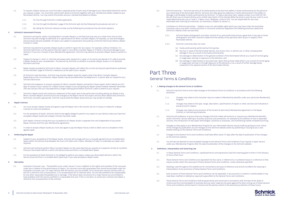- 1.2. To request a Repair Quote you must first take a separate photo of each area of damage to your Nominated Vehicle for which you request a repair. You must then submit each photo to Schmick together with your membership details related to your Nominated Vehicle. You may submit the photos and your membership details as follows:
	- 1.2.1. On-line through Schmick's mobile application;
	- 1.2.2. On-line through the Member's page of the Schmick web site (by following the procedures set out); or
	- 1.2.3. By calling the Schmick national number and by following the procedures the call centre explains.

### **2. Schmick's Assessment Process**

- 2.1. Schmick's pricing for repairs including Minor Cosmetic Repairs is not fixed and may vary up or down from time to time. Schmick may also change its definition of or specifications for Minor Cosmetic Repairs, for example, as new technologies and processes become available. All repairs are subject to assessment and quote by a Schmick technician before a Repair Contract is made.
- 2.2. Schmick may decline to provide a Repair Quote or perform repairs for any reason. For example, without limitation, if a Schmick technician is of the opinion that the repair is not a Minor Cosmetic Repair or if there is structural damage to your Vehicle or if you are in breach of your Membership Agreement, Schmick may decline to provide a Repair Quote or perform a repair.
- 2.3. Subject to clauses 2.1 and 2.2, Schmick will assess each request for a repair on its merits and decide if it is able to provide a Repair Quote for your consideration. The decision by Schmick on whether to provide a Repair Quote is in its absolute discretion and final.
- 2.4. Repair Quotes provided by Schmick for Minor Cosmetic Repairs will reflect the current pricing and specifications published on the members' page on Schmick's website as at the date of your request.
- 2.5. At Schmick's sole discretion, Schmick may provide a Repair Quote for repairs other than Minor Cosmetic Repairs. Depending on the circumstances, Repair Quotes may be provided either by telephone or in person after an inspection by a Schmick technician.
- 2.6. Schmick will endeavour to process requests for Minor Cosmetic Repairs and perform those repairs within twenty one (21) days of receipt of your request for a Repair Quote (subject to you accepting any Repair Quote) however between December 15th and January 15th you may experience a longer waiting period before Schmick is able to attend to your request.
- 2.7. Schmick's Repair Quote will comprise a statement of the repair work to be performed including setting out details of any Minor Cosmetic Repairs and the price to be charged as the Repair Fee for the repairs and any other details that Schmick's technician considers appropriate. Schmick may provide the Repair Quote (and you may accept it) verbally.

#### **3. Repair Contract**

- 3.1. You must accept a Repair Quote and agree to pay the Repair Fee in the manner set out in clause 3.4 below for a Repair Contract to come into existence.
- 3.2. For the avoidance of doubt, Schmick shall not be legally obliged to perform any repairs to any Vehicle unless you have first accepted a Repair Quote and a Repair Contract has been made.
- 3.3. Each Repair Contract arising from your acceptance of a Repair Quote is separate from and independent of any earlier Repair Contract and from your Membership agreement.
- 3.4. In order to accept a Repair Quote you must also agree to pay the Repair Fee by credit or debit card on completion of the agreed repair.

### **4. Performing the Repair**

- 4.1. Subject to your acceptance of the Repair Quote, Schmick will arrange with you a mutually agreed time at a Suitable Work Space within the Service Area between the hours of 8.00am and 4.00pm, Monday to Friday, to undertake any repair work required.
- 4.2. Schmick will ordinarily perform Minor Cosmetic Repairs on the same day that you request an inspection strictly on condition that your Nominated Vehicle is within the Service Area and there is a Suitable Work Space.
- 4.3. For the avoidance of doubt Schmick is not obliged to perform any repairs unless your Nominated Vehicle is within the Service Area and there is a Suitable Work Space even if you have accepted a Repair Quote.

#### **5. Warranties**

5.1. Australian Consumer Law – The benefits to you under clause 5.2 are in addition to the rights and remedies of the consumer under law in relation to the performance of repairs. Our services come with guarantees that cannot be excluded under the Australian Consumer Law. For major failures with the service, you are entitled: (a) to cancel your service contract with us; and (b) a refund for the unused portion, or to compensation for its reduced value. You are also entitled to be compensated for any other reasonably foreseeable loss or damage. If the failure does not amount to a major failure you are entitled to have problems with the service rectified in a reasonable time and, if this is not done, to cancel your contract and obtain a refund for the unused portion of the contract.

- 5.2. Schmick warranty Schmick warrants all its workmanship to be free from defect or faulty workmanship for the period of your ownership of the Nominated Vehicle. Schmick will make good any defective or faulty workmanship if the defect or damage is attributable to faulty workmanship by Schmick. To make a warranty claim, please contact us at 1300 567 567. We will direct you to forward photos and a written description of the claimed defect by email or post (at your cost) to us at repairs@schmickclub.com or Level 9, 3 Nexus Court, Mulgrave, Victoria 3170. You are responsible for any costs associated with claiming this warranty. Our warranty is subject to clause 5.3.
- 5.3. Limitations on Schmick warranties Subject to any non-excludable rights which you may have under the Australian Consumer Law or any other contrary provision in consumer protection legislation the following provisions determine Schmick's liability under any warranty:
	- 5.3.1. Schmick keeps photographic and other records of our work performed and you agree that it may rely on those photographic and other records to determine the validity of any warranty claim by you in respect of the Nominated Vehicle.
	- 5.3.2. Schmick's warranty does not cover:
		- (a) Faulty workmanship performed by third parties;
		- (b) Any loss in value of the Nominated Vehicle, loss of your time, or vehicle use, or other consequential damage or loss as a result of any faulty workmanship;
		- (c) Any damage or deterioration in the general condition of the Nominated Vehicle as a result of normal aging or usage wear and tear or exposure to the elements; and
		- (d) Any damage or deterioration to any particular repair that we have made which is as a result of normal aging or usage wear and tear or through exposure to the elements or as a result of further damage being sustained to the repaired section of the Nominated Vehicle.

### Part Three General Terms & Conditions

### **1. 1. Making changes to the General Terms & Conditions**

- 1.1. Schmick may from time to time make changes to the General Terms & Conditions in accordance with the following provisions:
	- 1.1.1. Changes may relate to the character nature or extent of Membership benefits under your particular Membership Program;
	- 1.1.2. Changes may relate to the type, range, description, specifications of repairs or other services and indicative or actual prices for repairs;
	- 1.1.3. Changes may relate to any provision of the Scratch & Dent Assist Membership Agreement or the Repair Contract or contracting procedures.
- 1.2. Schmick will endeavour to ensure that any changes Schmick makes will enhance or improve your Membership Benefits and/or Schmicks' service offering or business practices and procedures, for example by the addition of new or expanded services, the introduction of new repair technologies, practices or processes, and maintaining market competitive pricing.
- 1.3. Changes as they apply to your Membership Program for your Nominated Vehicle may be made by giving you prior notice of the changes by publication of such changes on the Schmick website and/or by publishing or issuing to you a new booklet setting out the General Terms and Conditions.
- 1.4. Changes to the General Terms and Conditions shall take effect seven (7) days after the date of publication of the changes on the Schmick website.
- 1.5. You will also be deemed to have accepted changes to the General Terms and Conditions if you request a repair service under your Membership Program after the date of publication of the changes on the Schmick website.

### **2. Definitions, Interpretation and Governing Law**

- 2.1. In these General Terms and Conditions, capitalised terms and expressions have the meaning given to them in the Glossary of Terms (Part Four).
- 2.2. These General Terms and Conditions are separated into four parts. A reference to a numbered clause is a reference to that clause number within the same part of these General Terms and Conditions, unless otherwise specified.
- 2.3. Headings used throughout this booklet are for convenience and ease of reference only and do not affect the meaning or interpretation of any provisions of these General Terms and Conditions.
- 2.4. Each provision of these General Terms and Conditions can be separated. If any provision is invalid or unenforceable it may read down modified or deleted as required to give effect to the General Terms and Conditions.
- 2.5. These General Terms and Conditions shall be governed by and construed in accordance with the laws of the State of Victoria and the Commonwealth of Australia and any claim made by one party against the other arising out of these General Terms and Conditions will be heard in Victoria and the parties submit to the exclusive jurisdiction of those Courts.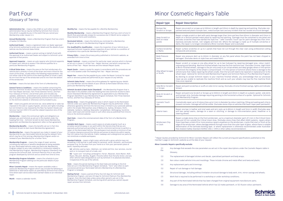# Part Four Glossary of Terms

**Administration Fee** – means a fee of \$25 or such other revised administration fee as may be notified by Schmick from time to time which is payable by you in the event that you cancel your Membership under clause 11.3;

**Annual Membership** - means a Membership Program that has a term of twelve (12) Months;

**Authorised Dealer** – means a registered motor car dealer approved of by Schmick authorised to enter your details and the details of your Vehicle into the Schmick Sales Portal;

**Authorised Person** – means a person acting on behalf of and with the approval of an Authorised Dealer and subject to Schmick's prior approval of that person-

**Approved Inspector** – means an auto repairer who Schmick appoints to inspect your Vehicle to assess if the Vehicle qualifies for a particular Membership Program;

**Critical Vision Area –** means the area on the front windscreen of a vehicle that is directly in front of the driver and most critical for the vision of the driver, usually within the following measurements: 150 mm either side of the centre of the steering wheel (or driver's seat), 90 mm from the top of the windscreen and 65 mm from the bottom of the windscreen.

**End Date** – means the last date of the Term of a Membership;

**General Terms & Conditions** – means this booklet comprising the Part One (Schmick Scratch & Dent Assist Membership Agreement), Part Two (Repair Services), Part Three (General Terms), and Part Four (Glossary of Terms), and all their parts and includes any updates, addendums, amendment and variation to this booklet or any of its parts that may be published by Schmick from time to time on the Schmick website or otherwise communicated to you;

**GST** – means any goods and services tax, value added tax or sales tax imposed on the sale or supply of goods, services and rights including but not limited to a tax imposed by the New Tax System (Goods and Services Tax) Act 1999 (C'th) and the related imposition Acts of the Commonwealth;

**Membership** – means the contractual rights and obligations as between you and Schmick as set out in this booklet under the heading Part One – Schmick Scratch & Dent Assist Membership Agreement and Membership Agreement refers to that agreement;

**Membership Benefits** – means the benefits set out in Part One (Schmick Scratch & Dent Assist Membership Agreement);

**Membership Fee** – means the payment you make in respect of your Membership for your Nominated Vehicle during the relevant Term, which may be on first joining a Membership Program and/or on renewal of your Membership for a further Term;

**Membership Program** – means the range of repair services including any features or benefits designated as being available for your Nominated Vehicle under any particular Membership Program subject to any rules conditions or constraints related to that Membership Program. Membership Programs (Standard) may comprise the Schmick Gold, Schmick Platinum Plus or any other program developed by Schmick and as varied from time to time;

**Membership Program Schedule** – means the schedule to your Membership Program settling out the particular details of your Membership:

**Minor Cosmetic Repair**– means the repairs available under a particular Membership Program which may include the following or additional or alternative repairs as specified by Schmick from time to time where each service described overleaf relates to an individual repair

**Month** - means a calendar month;

**Monthly Fee** - means the fee payable for a Monthly Membership;

**Monthly Membership** - means a Membership Program that has a term of one (1) Month that automatically renews for successive one (1) Month terms subject to these General Terms and Conditions;

**Nominated Vehicle** – means the Vehicle you nominate for a Membership Program, as set out in the Membership Program Schedule;

**Pre-Qualified/Pre-Qualification** – means the inspection of your Vehicle by an Approved Schmick Inspector where inspection of your Vehicle is a condition of acceptance into a particular Membership Program;

**Privacy Polic**y – means the privacy policy published on Schmick's website, as amended from time to time.

**Repair Contract** – means a contract for particular repair services which is formed as set out in clause 3.1 of Part Two – Repair Services, and which comprises the terms of Part Two – Repair Services and the relevant Repair Quote

**Repair Quote** – means a quote for repairs in accordance with the procedures set out in this booklet under the heading Part Two – Repair Services;

**Repair Fee** – means the fee payable by you under the Repair Contract for repair work or services quoted and performed at your request on any Vehicle;

**Schmick Sales Portal** – means the online gateway for registering your details as a new Member and the details of your vehicle as Nominated Vehicles into a particular Membership Program;

**Schmick Scratch & Dent Assist (Standard)** – the Membership Program that is described in this booklet under the heading Part One (Schmick Scratch & Dent Assist (Standard) Membership Agreement) as applicable to your Membership Program identified in your Membership Program Schedule, Part Three (General Terms), and Part Four (Glossary of Terms).

**Service Area** – means the geographic area in which repairs to the Nominated Vehicle under your particular Membership Program may be performed. Unless otherwise agreed by Schmick the Service Area is limited to your postcode address within the Greater Metropolitan area of Melbourne, Sydney, Brisbane, Perth, Adelaide, Canberra, Geelong, Newcastle, Campbeltown, Wollongong, Sunshine Coast, Gold Coast and Central Coast or such other area as published from time to time on the Schmick website;

**Start Date** – means the commencement date of the Term of a Membership Program;

**Suitable Work Space** – means a work space on private property (such as a privately owned driveway or car park) within the Service Area that you are expressly authorised and permitted to use for a Schmick technician to perform a repair on the Nominated Vehicle. The workspace must provide a minimum of two (2) metres clearance around the Vehicle and access to electricity within twentyfive (25) metres from the Vehicle. Public roadways and underground car parks do not constitute a suitable workspace;

**Standard Vehicle** – means a light motor vehicle with a gross vehicle mass not exceeding 3,500 kg that is used solely for personal, social, domestic, and business purposes (e.g. for journeys from your home to or from your permanent place of work). Expressly excludes:

**(a)** vehicles used as taxis, rideshare, car rental and hire, tour services, courier work or to transport tools of a trade; and

**(b)** "super cars" including Lamborghini, Ferrari, Maserati, Aston Martin, Rolls Royce, McLaren, Bentley, Bugatti, Porsche (other than Porsche SUVs), and any other vehicle make designated as such by Schmick in its absolute discretion, irrespective of the use of the vehicle.

**Term** – means the period starting on the Start Date and ending on the End Date set out in the Membership Program Schedule. "Term" also refers to each successive period your Nominated Vehicle's Membership of a Membership Program is renewed;

**Waiting Period** – means a period of forty-five (45) days for Schmick Gold Membership Program, and zero (0) days for Schmick Platinum Plus Membership Program, from the Start Date unless some other period is set out in the Membership Program Schedule, and during which period you cannot request repair services from Schmick.

# Minor Cosmetic Repairs Table

| <b>Repair type</b>                         | <b>Repair Description</b>                                                                                                                                                                                                                                                                                                                                                                                                                                                                                                                                                                                                                                                                                                                                                                                                                                                                                                                                      |
|--------------------------------------------|----------------------------------------------------------------------------------------------------------------------------------------------------------------------------------------------------------------------------------------------------------------------------------------------------------------------------------------------------------------------------------------------------------------------------------------------------------------------------------------------------------------------------------------------------------------------------------------------------------------------------------------------------------------------------------------------------------------------------------------------------------------------------------------------------------------------------------------------------------------------------------------------------------------------------------------------------------------|
| <b>Bumper Bar</b><br>Scratch or Scrape     | Repair one scratch or scrape up to 500mm in length and 20mm in depth by repairing and painting. (Excludes non-<br>painted textured plastic bumper bars, metal bumper bars and any incident that has caused structural damage).                                                                                                                                                                                                                                                                                                                                                                                                                                                                                                                                                                                                                                                                                                                                 |
| Deep Scratch or<br>Dent on metal<br>panels | Repair a single scratch or dent with paint damage larger than 3mm and less than 60mm in diameter and 10mm in<br>depth on a vertical painted metal panel by repairing and painting. (Damage must be contained to one panel and<br>excludes scratches that have dented the style line - refer Cosmetic Touch Ups for paint damage less than 3mm.<br>Expressly excludes bonnet, roof, tailgate and boot lid). Where the damage is made up of multiple sctratches or<br>dents, the repair is no longer considered a Minor Cosmetic Repair and is excluded.                                                                                                                                                                                                                                                                                                                                                                                                         |
| Surface Scratches<br>or Marks              | Repair surface scratches on up to 4 panels that have not cut through the clear coat using professional cutting<br>compounds and process.                                                                                                                                                                                                                                                                                                                                                                                                                                                                                                                                                                                                                                                                                                                                                                                                                       |
| <b>Body Pressure</b><br>Dents              | Repair one pressure dent up to 60mm in diameter on any flat panel where the paint has not been chipped or<br>damaged. (Excludes dents on style lines and metal folds).                                                                                                                                                                                                                                                                                                                                                                                                                                                                                                                                                                                                                                                                                                                                                                                         |
| Alloy Wheel Scrapes<br>or Scuffs           | Repair scratch or scrape on one alloy wheel (or up to two hubcaps) by repairing damaged area, colour match,<br>respraying and blending. Machine finished wheels may lose the fine machine lines. (Excludes Chrome, High Polish<br>& Mirror finished wheels, damage to the pin strip area on pin stripe wheels and deep gouges where in the opinion<br>of Schmick the integrity of the wheel is compromised). If in the opinion of Schmick where there is damage to the<br>vehicle tyres that makes repairing the wheel unsafe, then the tyre will need to be repaired or replaced prior to the<br>wheel repair. Optional for Schmick Gold Membership Program and Schmick Platinum Plus Membership Program.<br>By electing to accept Schmick repairs to your machine finished wheels, you acknowledge that our processes<br>mean we are unable to replicate the machine finish and as such your wheels may lose the fine machine finish<br>lines once repaired. |
| Side Mirror Scratch<br>or Scrape           | Repair and paint scratches or scuffs on side mirror casing. (Excludes chrome finished casings, lights and indicator<br>lenses).                                                                                                                                                                                                                                                                                                                                                                                                                                                                                                                                                                                                                                                                                                                                                                                                                                |
| Body Kit Scratch or<br>Scrape              | Repair and paint one Scratch or Scrape up to 500mm in length and 20mm in depth on a plastic spoiler, side skirts<br>and bumper strip. Excludes damage requiring painting to the horizontal surface of a spoiler. Optional for Schmick<br>Gold Membership Program.                                                                                                                                                                                                                                                                                                                                                                                                                                                                                                                                                                                                                                                                                              |
| Cosmetic Touch<br><b>Ups</b>               | Cosmetically repair up to 20 stone chips up to 3 mm in diameter by colour matching, filling and sealing each chip to<br>prevent corrosion. Damage will still be visible. (Excludes stone chips on vehicles that have 3 layer pearl paintwork).                                                                                                                                                                                                                                                                                                                                                                                                                                                                                                                                                                                                                                                                                                                 |
| Interior tears                             | Repair one tear in leather and vinyl seats and arm rests up to 80mm in length and 5mm in width (Excludes wear<br>and tear parted seams, damage on a seam or stitching, or damage to instrumentation panel, headliner or to<br>steering wheel).                                                                                                                                                                                                                                                                                                                                                                                                                                                                                                                                                                                                                                                                                                                 |
| Windscreen Chip<br>or Crack                | Repair a single stone chip on the front windscreen, up to a maximum diameter each of 5 mm in the Critical Vision<br>Area and 20 mm outside the Critical Vision Area. (Excludes stone chips that affect ADAS systems, repairs where<br>there have been a total of 8 or more previous repairs anywhere on the windscreen, cracks that start or finish at the<br>edge of the windscreen, where damage extends through more than the outer layer of glass, where there is notable<br>delamination of the laminate bonding layer, or where replacement is otherwise recommended under Australian<br>New Zealand Safety Standard AS/NSZ 2366.1-1999 or other safety recommendation).                                                                                                                                                                                                                                                                                 |

\* Repair Quotes provided by Schmick for Minor Cosmetic Repairs will reflect the current pricing and specifications published on the member's page on Schmick's website as at the date of your request.

### **Minor Cosmetic Repairs specifically exclude:**

- (1) Any damage that exceeds the size parameters as set out in the repair descriptions under the Cosmetic Repairs table in the Glossary;
- (2) The replacement of damaged stickers and decals, specialised paintwork and body wraps;
- (3) Non colour coded vehicle trims and mouldings. These include chrome and metal effect and textured plastic;
- (4) Any replacement parts and trimmings;
- (5) Repair of rust damage or hail damage;
- (6) Structural damage, including without limitation structural damage to body work, trim, mirror casings and wheels;
- (7) Work that is required to be performed in a workshop or under workshop conditions;
- (8) Any part of the Nominated Vehicle that has been changed from original equipment manufacturer parts;
- (9) Damage to any area of the Nominated Vehicle which has (a) matte paintwork, or (b) illusion colour paintwork;